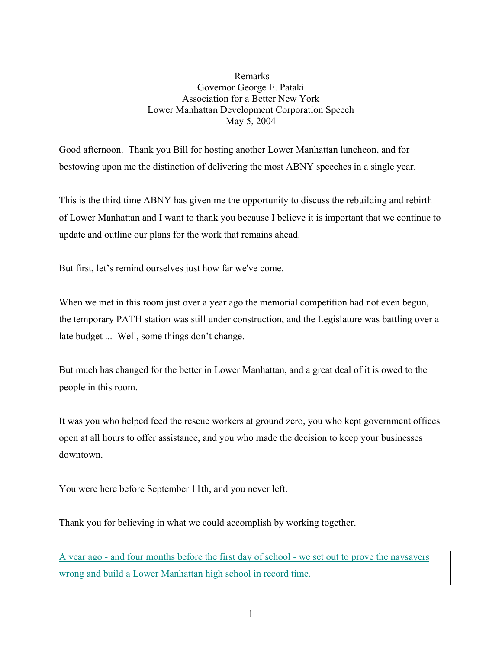## Remarks Governor George E. Pataki Association for a Better New York Lower Manhattan Development Corporation Speech May 5, 2004

Good afternoon. Thank you Bill for hosting another Lower Manhattan luncheon, and for bestowing upon me the distinction of delivering the most ABNY speeches in a single year.

This is the third time ABNY has given me the opportunity to discuss the rebuilding and rebirth of Lower Manhattan and I want to thank you because I believe it is important that we continue to update and outline our plans for the work that remains ahead.

But first, let's remind ourselves just how far we've come.

When we met in this room just over a year ago the memorial competition had not even begun, the temporary PATH station was still under construction, and the Legislature was battling over a late budget ... Well, some things don't change.

But much has changed for the better in Lower Manhattan, and a great deal of it is owed to the people in this room.

It was you who helped feed the rescue workers at ground zero, you who kept government offices open at all hours to offer assistance, and you who made the decision to keep your businesses downtown.

You were here before September 11th, and you never left.

Thank you for believing in what we could accomplish by working together.

A year ago - and four months before the first day of school - we set out to prove the naysayers wrong and build a Lower Manhattan high school in record time.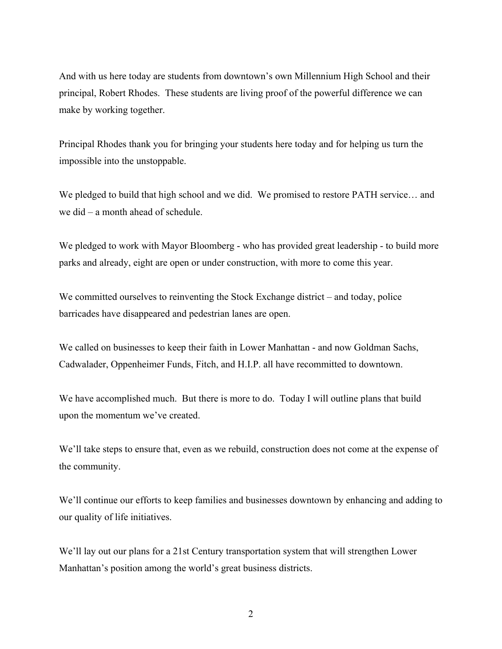And with us here today are students from downtown's own Millennium High School and their principal, Robert Rhodes. These students are living proof of the powerful difference we can make by working together.

Principal Rhodes thank you for bringing your students here today and for helping us turn the impossible into the unstoppable.

We pledged to build that high school and we did. We promised to restore PATH service… and we did – a month ahead of schedule.

We pledged to work with Mayor Bloomberg - who has provided great leadership - to build more parks and already, eight are open or under construction, with more to come this year.

We committed ourselves to reinventing the Stock Exchange district – and today, police barricades have disappeared and pedestrian lanes are open.

We called on businesses to keep their faith in Lower Manhattan - and now Goldman Sachs, Cadwalader, Oppenheimer Funds, Fitch, and H.I.P. all have recommitted to downtown.

We have accomplished much. But there is more to do. Today I will outline plans that build upon the momentum we've created.

We'll take steps to ensure that, even as we rebuild, construction does not come at the expense of the community.

We'll continue our efforts to keep families and businesses downtown by enhancing and adding to our quality of life initiatives.

We'll lay out our plans for a 21st Century transportation system that will strengthen Lower Manhattan's position among the world's great business districts.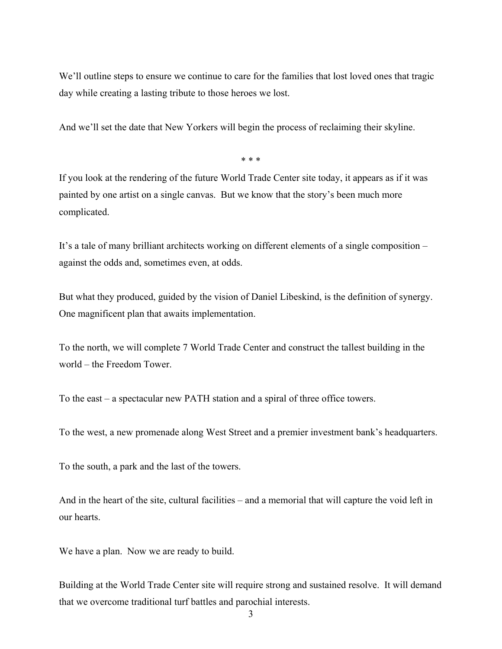We'll outline steps to ensure we continue to care for the families that lost loved ones that tragic day while creating a lasting tribute to those heroes we lost.

And we'll set the date that New Yorkers will begin the process of reclaiming their skyline.

\* \* \*

If you look at the rendering of the future World Trade Center site today, it appears as if it was painted by one artist on a single canvas. But we know that the story's been much more complicated.

It's a tale of many brilliant architects working on different elements of a single composition – against the odds and, sometimes even, at odds.

But what they produced, guided by the vision of Daniel Libeskind, is the definition of synergy. One magnificent plan that awaits implementation.

To the north, we will complete 7 World Trade Center and construct the tallest building in the world – the Freedom Tower.

To the east – a spectacular new PATH station and a spiral of three office towers.

To the west, a new promenade along West Street and a premier investment bank's headquarters.

To the south, a park and the last of the towers.

And in the heart of the site, cultural facilities – and a memorial that will capture the void left in our hearts.

We have a plan. Now we are ready to build.

Building at the World Trade Center site will require strong and sustained resolve. It will demand that we overcome traditional turf battles and parochial interests.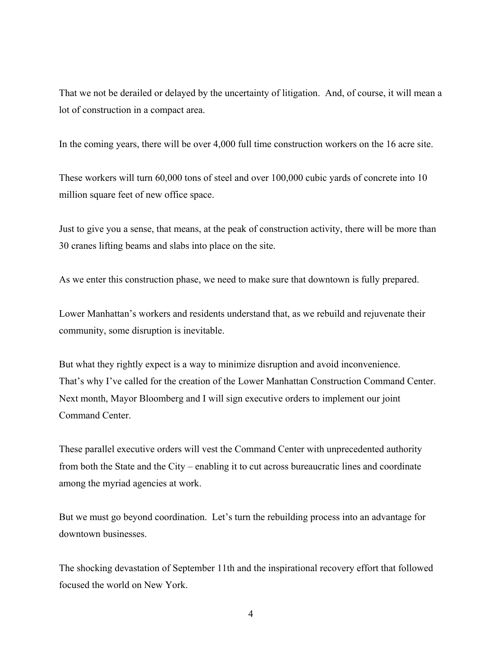That we not be derailed or delayed by the uncertainty of litigation. And, of course, it will mean a lot of construction in a compact area.

In the coming years, there will be over 4,000 full time construction workers on the 16 acre site.

These workers will turn 60,000 tons of steel and over 100,000 cubic yards of concrete into 10 million square feet of new office space.

Just to give you a sense, that means, at the peak of construction activity, there will be more than 30 cranes lifting beams and slabs into place on the site.

As we enter this construction phase, we need to make sure that downtown is fully prepared.

Lower Manhattan's workers and residents understand that, as we rebuild and rejuvenate their community, some disruption is inevitable.

But what they rightly expect is a way to minimize disruption and avoid inconvenience. That's why I've called for the creation of the Lower Manhattan Construction Command Center. Next month, Mayor Bloomberg and I will sign executive orders to implement our joint Command Center.

These parallel executive orders will vest the Command Center with unprecedented authority from both the State and the City – enabling it to cut across bureaucratic lines and coordinate among the myriad agencies at work.

But we must go beyond coordination. Let's turn the rebuilding process into an advantage for downtown businesses.

The shocking devastation of September 11th and the inspirational recovery effort that followed focused the world on New York.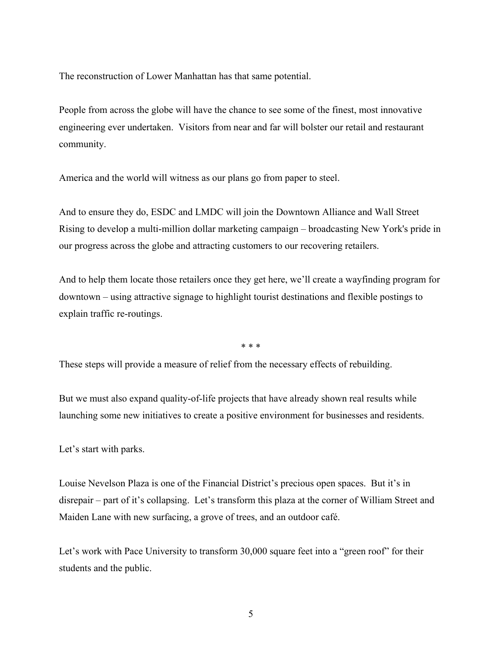The reconstruction of Lower Manhattan has that same potential.

People from across the globe will have the chance to see some of the finest, most innovative engineering ever undertaken. Visitors from near and far will bolster our retail and restaurant community.

America and the world will witness as our plans go from paper to steel.

And to ensure they do, ESDC and LMDC will join the Downtown Alliance and Wall Street Rising to develop a multi-million dollar marketing campaign – broadcasting New York's pride in our progress across the globe and attracting customers to our recovering retailers.

And to help them locate those retailers once they get here, we'll create a wayfinding program for downtown – using attractive signage to highlight tourist destinations and flexible postings to explain traffic re-routings.

\* \* \*

These steps will provide a measure of relief from the necessary effects of rebuilding.

But we must also expand quality-of-life projects that have already shown real results while launching some new initiatives to create a positive environment for businesses and residents.

Let's start with parks.

Louise Nevelson Plaza is one of the Financial District's precious open spaces. But it's in disrepair – part of it's collapsing. Let's transform this plaza at the corner of William Street and Maiden Lane with new surfacing, a grove of trees, and an outdoor café.

Let's work with Pace University to transform 30,000 square feet into a "green roof" for their students and the public.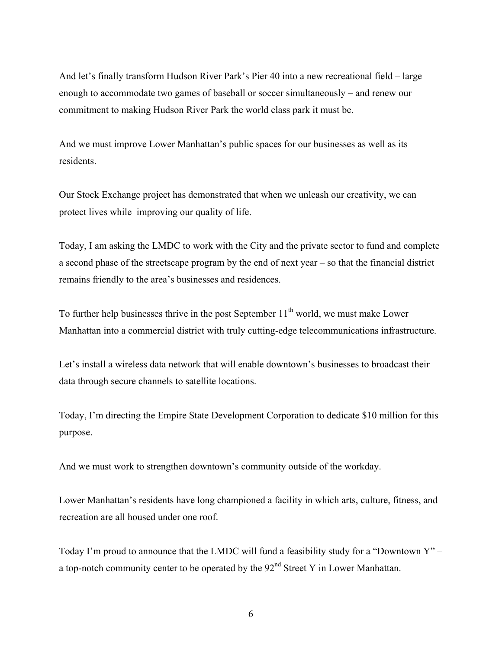And let's finally transform Hudson River Park's Pier 40 into a new recreational field – large enough to accommodate two games of baseball or soccer simultaneously – and renew our commitment to making Hudson River Park the world class park it must be.

And we must improve Lower Manhattan's public spaces for our businesses as well as its residents.

Our Stock Exchange project has demonstrated that when we unleash our creativity, we can protect lives while improving our quality of life.

Today, I am asking the LMDC to work with the City and the private sector to fund and complete a second phase of the streetscape program by the end of next year – so that the financial district remains friendly to the area's businesses and residences.

To further help businesses thrive in the post September  $11<sup>th</sup>$  world, we must make Lower Manhattan into a commercial district with truly cutting-edge telecommunications infrastructure.

Let's install a wireless data network that will enable downtown's businesses to broadcast their data through secure channels to satellite locations.

Today, I'm directing the Empire State Development Corporation to dedicate \$10 million for this purpose.

And we must work to strengthen downtown's community outside of the workday.

Lower Manhattan's residents have long championed a facility in which arts, culture, fitness, and recreation are all housed under one roof.

Today I'm proud to announce that the LMDC will fund a feasibility study for a "Downtown Y" – a top-notch community center to be operated by the  $92<sup>nd</sup>$  Street Y in Lower Manhattan.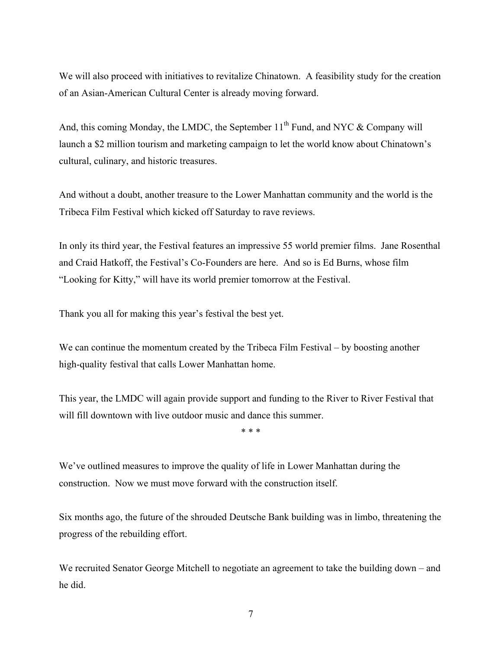We will also proceed with initiatives to revitalize Chinatown. A feasibility study for the creation of an Asian-American Cultural Center is already moving forward.

And, this coming Monday, the LMDC, the September  $11<sup>th</sup>$  Fund, and NYC & Company will launch a \$2 million tourism and marketing campaign to let the world know about Chinatown's cultural, culinary, and historic treasures.

And without a doubt, another treasure to the Lower Manhattan community and the world is the Tribeca Film Festival which kicked off Saturday to rave reviews.

In only its third year, the Festival features an impressive 55 world premier films. Jane Rosenthal and Craid Hatkoff, the Festival's Co-Founders are here. And so is Ed Burns, whose film "Looking for Kitty," will have its world premier tomorrow at the Festival.

Thank you all for making this year's festival the best yet.

We can continue the momentum created by the Tribeca Film Festival – by boosting another high-quality festival that calls Lower Manhattan home.

This year, the LMDC will again provide support and funding to the River to River Festival that will fill downtown with live outdoor music and dance this summer.

\* \* \*

We've outlined measures to improve the quality of life in Lower Manhattan during the construction. Now we must move forward with the construction itself.

Six months ago, the future of the shrouded Deutsche Bank building was in limbo, threatening the progress of the rebuilding effort.

We recruited Senator George Mitchell to negotiate an agreement to take the building down – and he did.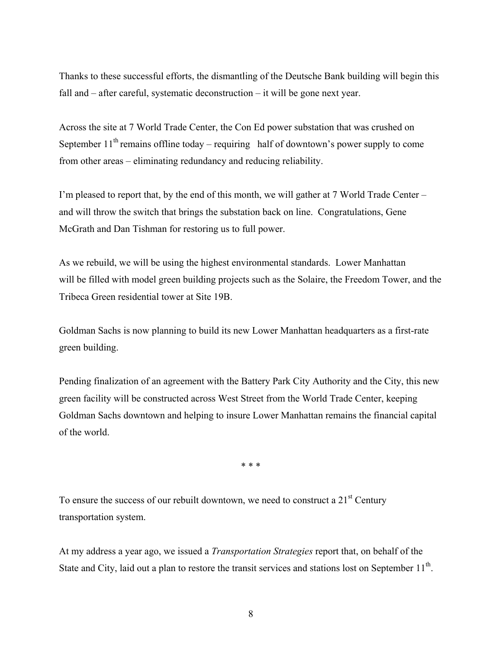Thanks to these successful efforts, the dismantling of the Deutsche Bank building will begin this fall and – after careful, systematic deconstruction – it will be gone next year.

Across the site at 7 World Trade Center, the Con Ed power substation that was crushed on September  $11<sup>th</sup>$  remains offline today – requiring half of downtown's power supply to come from other areas – eliminating redundancy and reducing reliability.

I'm pleased to report that, by the end of this month, we will gather at 7 World Trade Center – and will throw the switch that brings the substation back on line. Congratulations, Gene McGrath and Dan Tishman for restoring us to full power.

As we rebuild, we will be using the highest environmental standards. Lower Manhattan will be filled with model green building projects such as the Solaire, the Freedom Tower, and the Tribeca Green residential tower at Site 19B.

Goldman Sachs is now planning to build its new Lower Manhattan headquarters as a first-rate green building.

Pending finalization of an agreement with the Battery Park City Authority and the City, this new green facility will be constructed across West Street from the World Trade Center, keeping Goldman Sachs downtown and helping to insure Lower Manhattan remains the financial capital of the world.

\* \* \*

To ensure the success of our rebuilt downtown, we need to construct a  $21<sup>st</sup>$  Century transportation system.

At my address a year ago, we issued a *Transportation Strategies* report that, on behalf of the State and City, laid out a plan to restore the transit services and stations lost on September  $11<sup>th</sup>$ .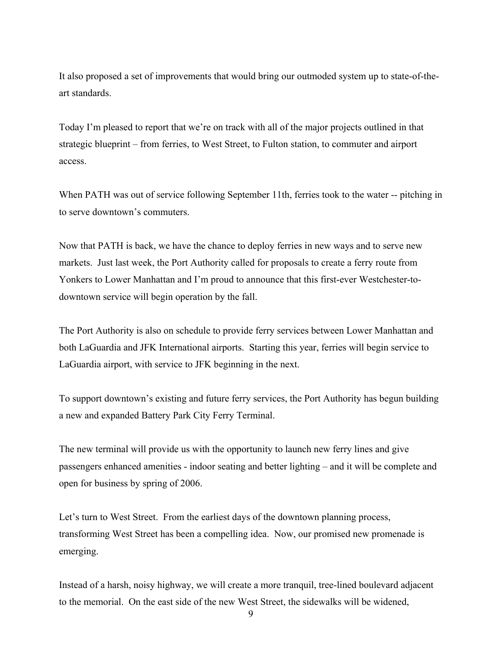It also proposed a set of improvements that would bring our outmoded system up to state-of-theart standards.

Today I'm pleased to report that we're on track with all of the major projects outlined in that strategic blueprint – from ferries, to West Street, to Fulton station, to commuter and airport access.

When PATH was out of service following September 11th, ferries took to the water -- pitching in to serve downtown's commuters.

Now that PATH is back, we have the chance to deploy ferries in new ways and to serve new markets. Just last week, the Port Authority called for proposals to create a ferry route from Yonkers to Lower Manhattan and I'm proud to announce that this first-ever Westchester-todowntown service will begin operation by the fall.

The Port Authority is also on schedule to provide ferry services between Lower Manhattan and both LaGuardia and JFK International airports. Starting this year, ferries will begin service to LaGuardia airport, with service to JFK beginning in the next.

To support downtown's existing and future ferry services, the Port Authority has begun building a new and expanded Battery Park City Ferry Terminal.

The new terminal will provide us with the opportunity to launch new ferry lines and give passengers enhanced amenities - indoor seating and better lighting – and it will be complete and open for business by spring of 2006.

Let's turn to West Street. From the earliest days of the downtown planning process, transforming West Street has been a compelling idea. Now, our promised new promenade is emerging.

Instead of a harsh, noisy highway, we will create a more tranquil, tree-lined boulevard adjacent to the memorial. On the east side of the new West Street, the sidewalks will be widened,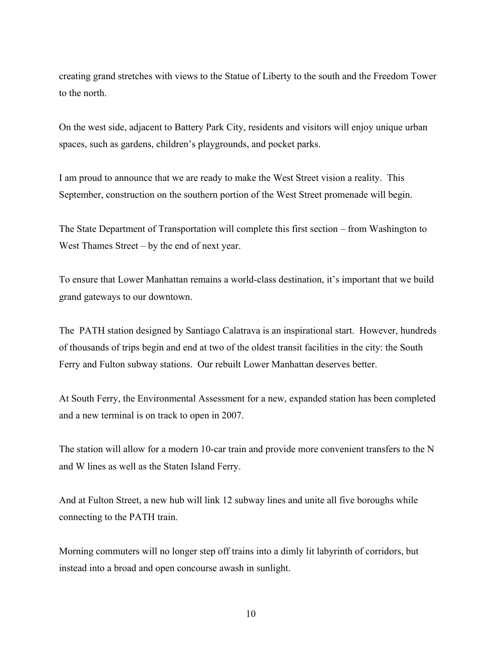creating grand stretches with views to the Statue of Liberty to the south and the Freedom Tower to the north.

On the west side, adjacent to Battery Park City, residents and visitors will enjoy unique urban spaces, such as gardens, children's playgrounds, and pocket parks.

I am proud to announce that we are ready to make the West Street vision a reality. This September, construction on the southern portion of the West Street promenade will begin.

The State Department of Transportation will complete this first section – from Washington to West Thames Street – by the end of next year.

To ensure that Lower Manhattan remains a world-class destination, it's important that we build grand gateways to our downtown.

The PATH station designed by Santiago Calatrava is an inspirational start. However, hundreds of thousands of trips begin and end at two of the oldest transit facilities in the city: the South Ferry and Fulton subway stations. Our rebuilt Lower Manhattan deserves better.

At South Ferry, the Environmental Assessment for a new, expanded station has been completed and a new terminal is on track to open in 2007.

The station will allow for a modern 10-car train and provide more convenient transfers to the N and W lines as well as the Staten Island Ferry.

And at Fulton Street, a new hub will link 12 subway lines and unite all five boroughs while connecting to the PATH train.

Morning commuters will no longer step off trains into a dimly lit labyrinth of corridors, but instead into a broad and open concourse awash in sunlight.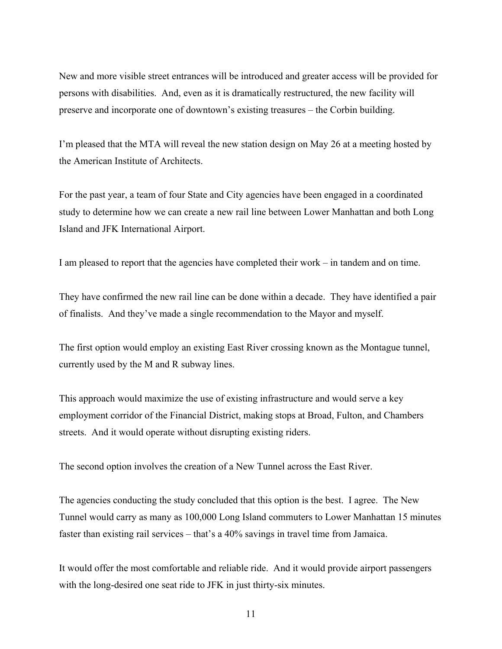New and more visible street entrances will be introduced and greater access will be provided for persons with disabilities. And, even as it is dramatically restructured, the new facility will preserve and incorporate one of downtown's existing treasures – the Corbin building.

I'm pleased that the MTA will reveal the new station design on May 26 at a meeting hosted by the American Institute of Architects.

For the past year, a team of four State and City agencies have been engaged in a coordinated study to determine how we can create a new rail line between Lower Manhattan and both Long Island and JFK International Airport.

I am pleased to report that the agencies have completed their work – in tandem and on time.

They have confirmed the new rail line can be done within a decade. They have identified a pair of finalists. And they've made a single recommendation to the Mayor and myself.

The first option would employ an existing East River crossing known as the Montague tunnel, currently used by the M and R subway lines.

This approach would maximize the use of existing infrastructure and would serve a key employment corridor of the Financial District, making stops at Broad, Fulton, and Chambers streets. And it would operate without disrupting existing riders.

The second option involves the creation of a New Tunnel across the East River.

The agencies conducting the study concluded that this option is the best. I agree. The New Tunnel would carry as many as 100,000 Long Island commuters to Lower Manhattan 15 minutes faster than existing rail services – that's a 40% savings in travel time from Jamaica.

It would offer the most comfortable and reliable ride. And it would provide airport passengers with the long-desired one seat ride to JFK in just thirty-six minutes.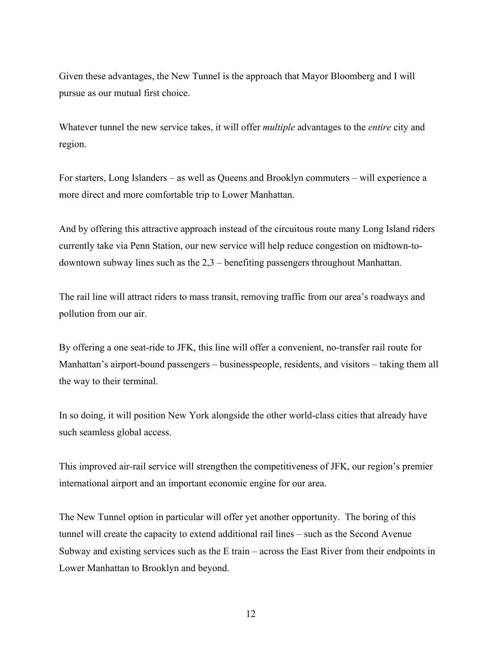Given these advantages, the New Tunnel is the approach that Mayor Bloomberg and I will pursue as our mutual first choice.

Whatever tunnel the new service takes, it will offer *multiple* advantages to the *entire* city and region.

For starters, Long Islanders – as well as Queens and Brooklyn commuters – will experience a more direct and more comfortable trip to Lower Manhattan.

And by offering this attractive approach instead of the circuitous route many Long Island riders currently take via Penn Station, our new service will help reduce congestion on midtown-todowntown subway lines such as the 2,3 – benefiting passengers throughout Manhattan.

The rail line will attract riders to mass transit, removing traffic from our area's roadways and pollution from our air.

By offering a one seat-ride to JFK, this line will offer a convenient, no-transfer rail route for Manhattan's airport-bound passengers – businesspeople, residents, and visitors – taking them all the way to their terminal.

In so doing, it will position New York alongside the other world-class cities that already have such seamless global access.

This improved air-rail service will strengthen the competitiveness of JFK, our region's premier international airport and an important economic engine for our area.

The New Tunnel option in particular will offer yet another opportunity. The boring of this tunnel will create the capacity to extend additional rail lines – such as the Second Avenue Subway and existing services such as the E train – across the East River from their endpoints in Lower Manhattan to Brooklyn and beyond.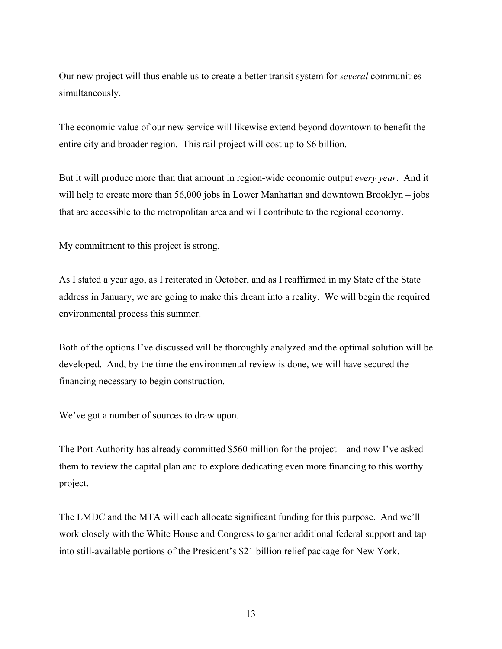Our new project will thus enable us to create a better transit system for *several* communities simultaneously.

The economic value of our new service will likewise extend beyond downtown to benefit the entire city and broader region. This rail project will cost up to \$6 billion.

But it will produce more than that amount in region-wide economic output *every year*. And it will help to create more than 56,000 jobs in Lower Manhattan and downtown Brooklyn – jobs that are accessible to the metropolitan area and will contribute to the regional economy.

My commitment to this project is strong.

As I stated a year ago, as I reiterated in October, and as I reaffirmed in my State of the State address in January, we are going to make this dream into a reality. We will begin the required environmental process this summer.

Both of the options I've discussed will be thoroughly analyzed and the optimal solution will be developed. And, by the time the environmental review is done, we will have secured the financing necessary to begin construction.

We've got a number of sources to draw upon.

The Port Authority has already committed \$560 million for the project – and now I've asked them to review the capital plan and to explore dedicating even more financing to this worthy project.

The LMDC and the MTA will each allocate significant funding for this purpose. And we'll work closely with the White House and Congress to garner additional federal support and tap into still-available portions of the President's \$21 billion relief package for New York.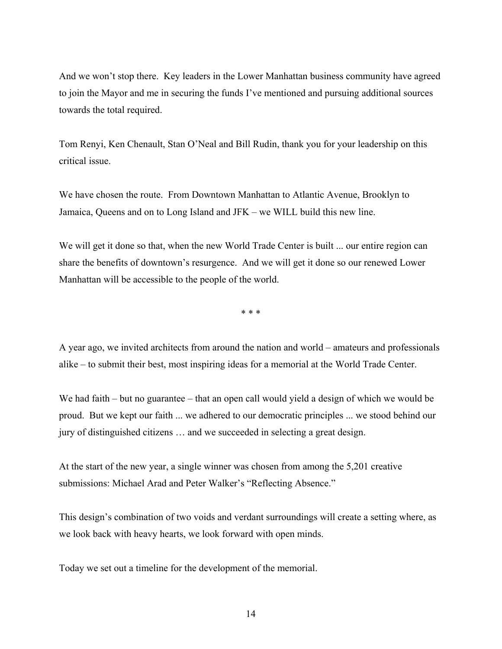And we won't stop there. Key leaders in the Lower Manhattan business community have agreed to join the Mayor and me in securing the funds I've mentioned and pursuing additional sources towards the total required.

Tom Renyi, Ken Chenault, Stan O'Neal and Bill Rudin, thank you for your leadership on this critical issue.

We have chosen the route. From Downtown Manhattan to Atlantic Avenue, Brooklyn to Jamaica, Queens and on to Long Island and JFK – we WILL build this new line.

We will get it done so that, when the new World Trade Center is built ... our entire region can share the benefits of downtown's resurgence. And we will get it done so our renewed Lower Manhattan will be accessible to the people of the world.

\* \* \*

A year ago, we invited architects from around the nation and world – amateurs and professionals alike – to submit their best, most inspiring ideas for a memorial at the World Trade Center.

We had faith – but no guarantee – that an open call would yield a design of which we would be proud. But we kept our faith ... we adhered to our democratic principles ... we stood behind our jury of distinguished citizens … and we succeeded in selecting a great design.

At the start of the new year, a single winner was chosen from among the 5,201 creative submissions: Michael Arad and Peter Walker's "Reflecting Absence."

This design's combination of two voids and verdant surroundings will create a setting where, as we look back with heavy hearts, we look forward with open minds.

Today we set out a timeline for the development of the memorial.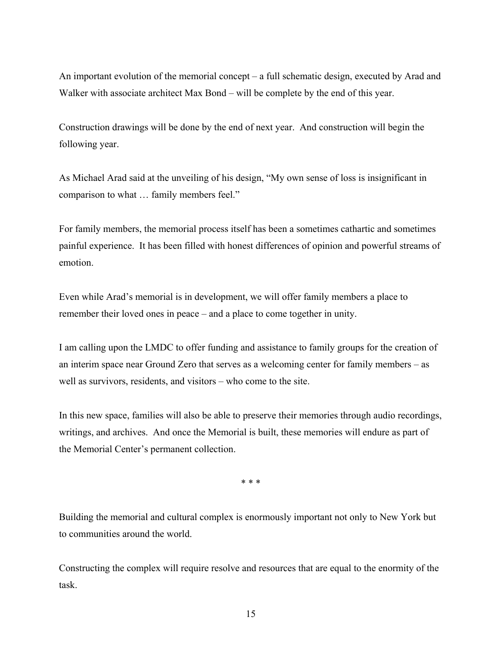An important evolution of the memorial concept – a full schematic design, executed by Arad and Walker with associate architect Max Bond – will be complete by the end of this year.

Construction drawings will be done by the end of next year. And construction will begin the following year.

As Michael Arad said at the unveiling of his design, "My own sense of loss is insignificant in comparison to what … family members feel."

For family members, the memorial process itself has been a sometimes cathartic and sometimes painful experience. It has been filled with honest differences of opinion and powerful streams of emotion.

Even while Arad's memorial is in development, we will offer family members a place to remember their loved ones in peace – and a place to come together in unity.

I am calling upon the LMDC to offer funding and assistance to family groups for the creation of an interim space near Ground Zero that serves as a welcoming center for family members – as well as survivors, residents, and visitors – who come to the site.

In this new space, families will also be able to preserve their memories through audio recordings, writings, and archives. And once the Memorial is built, these memories will endure as part of the Memorial Center's permanent collection.

\* \* \*

Building the memorial and cultural complex is enormously important not only to New York but to communities around the world.

Constructing the complex will require resolve and resources that are equal to the enormity of the task.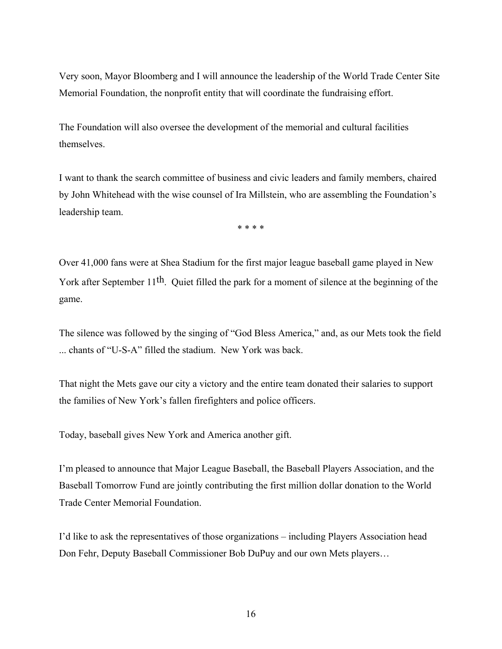Very soon, Mayor Bloomberg and I will announce the leadership of the World Trade Center Site Memorial Foundation, the nonprofit entity that will coordinate the fundraising effort.

The Foundation will also oversee the development of the memorial and cultural facilities themselves.

I want to thank the search committee of business and civic leaders and family members, chaired by John Whitehead with the wise counsel of Ira Millstein, who are assembling the Foundation's leadership team.

\* \* \* \*

Over 41,000 fans were at Shea Stadium for the first major league baseball game played in New York after September 11<sup>th</sup>. Quiet filled the park for a moment of silence at the beginning of the game.

The silence was followed by the singing of "God Bless America," and, as our Mets took the field ... chants of "U-S-A" filled the stadium. New York was back.

That night the Mets gave our city a victory and the entire team donated their salaries to support the families of New York's fallen firefighters and police officers.

Today, baseball gives New York and America another gift.

I'm pleased to announce that Major League Baseball, the Baseball Players Association, and the Baseball Tomorrow Fund are jointly contributing the first million dollar donation to the World Trade Center Memorial Foundation.

I'd like to ask the representatives of those organizations – including Players Association head Don Fehr, Deputy Baseball Commissioner Bob DuPuy and our own Mets players…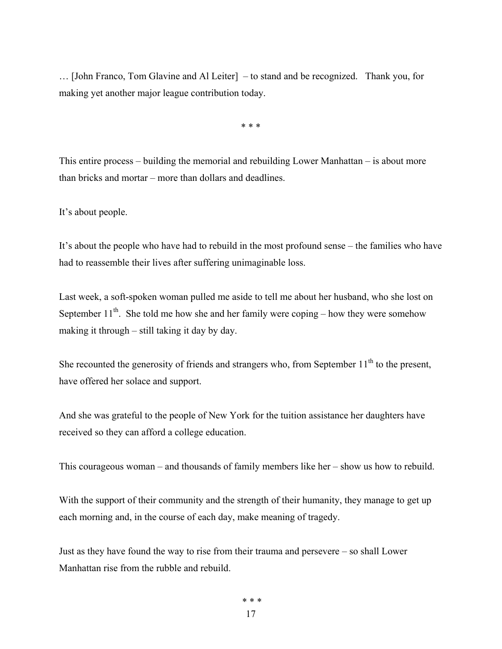… [John Franco, Tom Glavine and Al Leiter] – to stand and be recognized. Thank you, for making yet another major league contribution today.

\* \* \*

This entire process – building the memorial and rebuilding Lower Manhattan – is about more than bricks and mortar – more than dollars and deadlines.

It's about people.

It's about the people who have had to rebuild in the most profound sense – the families who have had to reassemble their lives after suffering unimaginable loss.

Last week, a soft-spoken woman pulled me aside to tell me about her husband, who she lost on September  $11<sup>th</sup>$ . She told me how she and her family were coping – how they were somehow making it through – still taking it day by day.

She recounted the generosity of friends and strangers who, from September  $11<sup>th</sup>$  to the present, have offered her solace and support.

And she was grateful to the people of New York for the tuition assistance her daughters have received so they can afford a college education.

This courageous woman – and thousands of family members like her – show us how to rebuild.

With the support of their community and the strength of their humanity, they manage to get up each morning and, in the course of each day, make meaning of tragedy.

Just as they have found the way to rise from their trauma and persevere – so shall Lower Manhattan rise from the rubble and rebuild.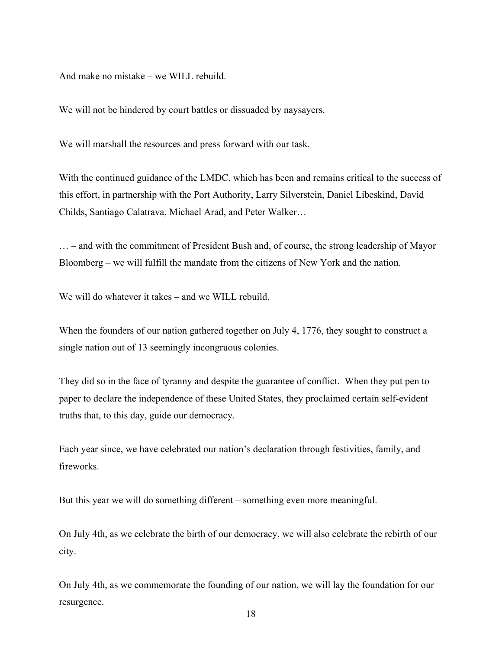And make no mistake – we WILL rebuild.

We will not be hindered by court battles or dissuaded by naysayers.

We will marshall the resources and press forward with our task.

With the continued guidance of the LMDC, which has been and remains critical to the success of this effort, in partnership with the Port Authority, Larry Silverstein, Daniel Libeskind, David Childs, Santiago Calatrava, Michael Arad, and Peter Walker…

… – and with the commitment of President Bush and, of course, the strong leadership of Mayor Bloomberg – we will fulfill the mandate from the citizens of New York and the nation.

We will do whatever it takes – and we WILL rebuild.

When the founders of our nation gathered together on July 4, 1776, they sought to construct a single nation out of 13 seemingly incongruous colonies.

They did so in the face of tyranny and despite the guarantee of conflict. When they put pen to paper to declare the independence of these United States, they proclaimed certain self-evident truths that, to this day, guide our democracy.

Each year since, we have celebrated our nation's declaration through festivities, family, and fireworks.

But this year we will do something different – something even more meaningful.

On July 4th, as we celebrate the birth of our democracy, we will also celebrate the rebirth of our city.

On July 4th, as we commemorate the founding of our nation, we will lay the foundation for our resurgence.